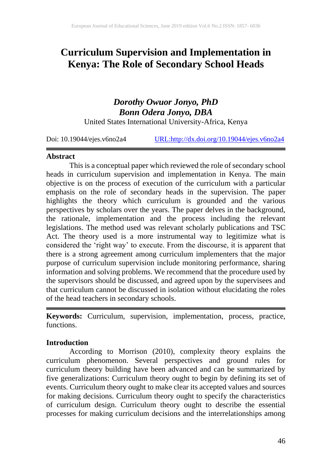# **Curriculum Supervision and Implementation in Kenya: The Role of Secondary School Heads**

# *Dorothy Owuor Jonyo, PhD Bonn Odera Jonyo, DBA* United States International University-Africa, Kenya

Doi: 10.19044/ejes.v6no2a4 [URL:http://dx.doi.org/10.19044/ejes.v6no2a4](http://dx.doi.org/10.19044/ejes.v6no2a4)

## **Abstract**

This is a conceptual paper which reviewed the role of secondary school heads in curriculum supervision and implementation in Kenya. The main objective is on the process of execution of the curriculum with a particular emphasis on the role of secondary heads in the supervision. The paper highlights the theory which curriculum is grounded and the various perspectives by scholars over the years. The paper delves in the background, the rationale, implementation and the process including the relevant legislations. The method used was relevant scholarly publications and TSC Act. The theory used is a more instrumental way to legitimize what is considered the 'right way' to execute. From the discourse, it is apparent that there is a strong agreement among curriculum implementers that the major purpose of curriculum supervision include monitoring performance, sharing information and solving problems. We recommend that the procedure used by the supervisors should be discussed, and agreed upon by the supervisees and that curriculum cannot be discussed in isolation without elucidating the roles of the head teachers in secondary schools.

**Keywords:** Curriculum, supervision, implementation, process, practice, functions.

## **Introduction**

According to Morrison (2010), complexity theory explains the curriculum phenomenon. Several perspectives and ground rules for curriculum theory building have been advanced and can be summarized by five generalizations: Curriculum theory ought to begin by defining its set of events. Curriculum theory ought to make clear its accepted values and sources for making decisions. Curriculum theory ought to specify the characteristics of curriculum design. Curriculum theory ought to describe the essential processes for making curriculum decisions and the interrelationships among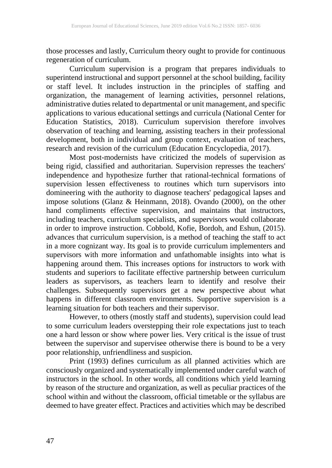those processes and lastly, Curriculum theory ought to provide for continuous regeneration of curriculum.

Curriculum supervision is a program that prepares individuals to superintend instructional and support personnel at the school building, facility or staff level. It includes instruction in the principles of staffing and organization, the management of learning activities, personnel relations, administrative duties related to departmental or unit management, and specific applications to various educational settings and curricula (National Center for Education Statistics, 2018). Curriculum supervision therefore involves observation of teaching and learning, assisting teachers in their professional development, both in individual and group context, evaluation of teachers, research and revision of the curriculum (Education Encyclopedia, 2017).

Most post-modernists have criticized the models of supervision as being rigid, classified and authoritarian. Supervision represses the teachers' independence and hypothesize further that rational-technical formations of supervision lessen effectiveness to routines which turn supervisors into domineering with the authority to diagnose teachers' pedagogical lapses and impose solutions (Glanz & Heinmann, 2018). Ovando (2000), on the other hand compliments effective supervision, and maintains that instructors, including teachers, curriculum specialists, and supervisors would collaborate in order to improve instruction. Cobbold, Kofie, Bordoh, and Eshun, (2015). advances that curriculum supervision, is a method of teaching the staff to act in a more cognizant way. Its goal is to provide curriculum implementers and supervisors with more information and unfathomable insights into what is happening around them. This increases options for instructors to work with students and superiors to facilitate effective partnership between curriculum leaders as supervisors, as teachers learn to identify and resolve their challenges. Subsequently supervisors get a new perspective about what happens in different classroom environments. Supportive supervision is a learning situation for both teachers and their supervisor.

However, to others (mostly staff and students), supervision could lead to some curriculum leaders overstepping their role expectations just to teach one a hard lesson or show where power lies. Very critical is the issue of trust between the supervisor and supervisee otherwise there is bound to be a very poor relationship, unfriendliness and suspicion.

Print (1993) defines curriculum as all planned activities which are consciously organized and systematically implemented under careful watch of instructors in the school. In other words, all conditions which yield learning by reason of the structure and organization, as well as peculiar practices of the school within and without the classroom, official timetable or the syllabus are deemed to have greater effect. Practices and activities which may be described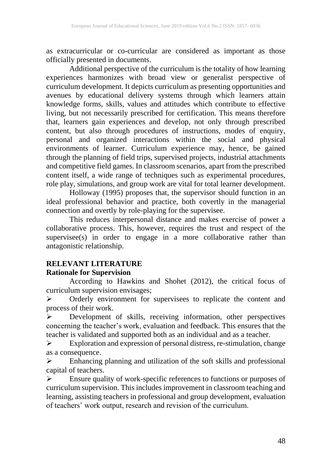as extracurricular or co-curricular are considered as important as those officially presented in documents.

Additional perspective of the curriculum is the totality of how learning experiences harmonizes with broad view or generalist perspective of curriculum development. It depicts curriculum as presenting opportunities and avenues by educational delivery systems through which learners attain knowledge forms, skills, values and attitudes which contribute to effective living, but not necessarily prescribed for certification. This means therefore that, learners gain experiences and develop, not only through prescribed content, but also through procedures of instructions, modes of enquiry, personal and organized interactions within the social and physical environments of learner. Curriculum experience may, hence, be gained through the planning of field trips, supervised projects, industrial attachments and competitive field games. In classroom scenarios, apart from the prescribed content itself, a wide range of techniques such as experimental procedures, role play, simulations, and group work are vital for total learner development.

Holloway (1995) proposes that, the supervisor should function in an ideal professional behavior and practice, both covertly in the managerial connection and overtly by role-playing for the supervisee.

This reduces interpersonal distance and makes exercise of power a collaborative process. This, however, requires the trust and respect of the  $supervised(s)$  in order to engage in a more collaborative rather than antagonistic relationship.

# **RELEVANT LITERATURE**

## **Rationale for Supervision**

According to Hawkins and Shohet (2012), the critical focus of curriculum supervision envisages;

➢ Orderly environment for supervisees to replicate the content and process of their work.

➢ Development of skills, receiving information, other perspectives concerning the teacher's work, evaluation and feedback. This ensures that the teacher is validated and supported both as an individual and as a teacher.

➢ Exploration and expression of personal distress, re-stimulation, change as a consequence.

➢ Enhancing planning and utilization of the soft skills and professional capital of teachers.

➢ Ensure quality of work-specific references to functions or purposes of curriculum supervision. This includes improvement in classroom teaching and learning, assisting teachers in professional and group development, evaluation of teachers' work output, research and revision of the curriculum.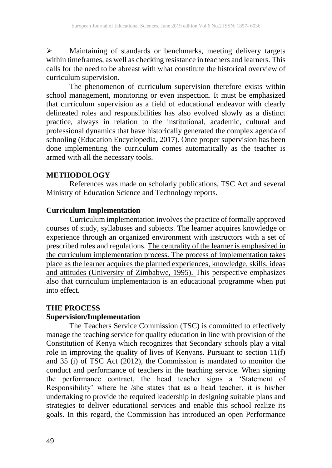➢ Maintaining of standards or benchmarks, meeting delivery targets within timeframes, as well as checking resistance in teachers and learners. This calls for the need to be abreast with what constitute the historical overview of curriculum supervision.

The phenomenon of curriculum supervision therefore exists within school management, monitoring or even inspection. It must be emphasized that curriculum supervision as a field of educational endeavor with clearly delineated roles and responsibilities has also evolved slowly as a distinct practice, always in relation to the institutional, academic, cultural and professional dynamics that have historically generated the complex agenda of schooling (Education Encyclopedia, 2017). Once proper supervision has been done implementing the curriculum comes automatically as the teacher is armed with all the necessary tools.

#### **METHODOLOGY**

References was made on scholarly publications, TSC Act and several Ministry of Education Science and Technology reports.

#### **Curriculum Implementation**

Curriculum implementation involves the practice of formally approved courses of study, syllabuses and subjects. The learner acquires knowledge or experience through an organized environment with instructors with a set of prescribed rules and regulations. [The centrality of the learner is emphasized in](https://blackboard.usiu.ac.ke/webapps/mdb-sa-BBLEARN/originalityReportPrint?course_id=_3722_1&paperId=1824621922&&attemptId=&course_id=_3722_1) the curriculum [implementation process. The process of implementation takes](https://blackboard.usiu.ac.ke/webapps/mdb-sa-BBLEARN/originalityReportPrint?course_id=_3722_1&paperId=1824621922&&attemptId=&course_id=_3722_1) [place as the learner acquires the planned experiences, knowledge, skills, ideas](https://blackboard.usiu.ac.ke/webapps/mdb-sa-BBLEARN/originalityReportPrint?course_id=_3722_1&paperId=1824621922&&attemptId=&course_id=_3722_1) [and attitudes \(University of Zimbabwe, 1995\). T](https://blackboard.usiu.ac.ke/webapps/mdb-sa-BBLEARN/originalityReportPrint?course_id=_3722_1&paperId=1824621922&&attemptId=&course_id=_3722_1)his perspective emphasizes also that curriculum implementation is an educational programme when put into effect.

## **THE PROCESS**

# **Supervision/Implementation**

The Teachers Service Commission (TSC) is committed to effectively manage the teaching service for quality education in line with provision of the Constitution of Kenya which recognizes that Secondary schools play a vital role in improving the quality of lives of Kenyans. Pursuant to section 11(f) and 35 (i) of TSC Act (2012), the Commission is mandated to monitor the conduct and performance of teachers in the teaching service. When signing the performance contract, the head teacher signs a 'Statement of Responsibility' where he /she states that as a head teacher, it is his/her undertaking to provide the required leadership in designing suitable plans and strategies to deliver educational services and enable this school realize its goals. In this regard, the Commission has introduced an open Performance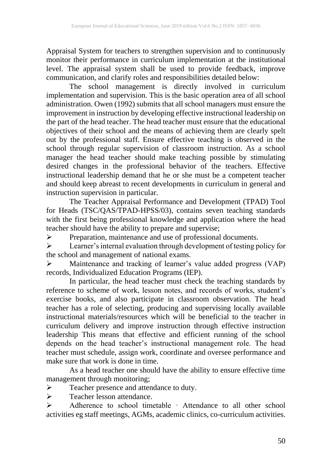Appraisal System for teachers to strengthen supervision and to continuously monitor their performance in curriculum implementation at the institutional level. The appraisal system shall be used to provide feedback, improve communication, and clarify roles and responsibilities detailed below:

The school management is directly involved in curriculum implementation and supervision. This is the basic operation area of all school administration. Owen (1992) submits that all school managers must ensure the improvement in instruction by developing effective instructional leadership on the part of the head teacher. The head teacher must ensure that the educational objectives of their school and the means of achieving them are clearly spelt out by the professional staff. Ensure effective teaching is observed in the school through regular supervision of classroom instruction. As a school manager the head teacher should make teaching possible by stimulating desired changes in the professional behavior of the teachers. Effective instructional leadership demand that he or she must be a competent teacher and should keep abreast to recent developments in curriculum in general and instruction supervision in particular.

The Teacher Appraisal Performance and Development (TPAD) Tool for Heads (TSC/QAS/TPAD-HPSS/03), contains seven teaching standards with the first being professional knowledge and application where the head teacher should have the ability to prepare and supervise;

➢ Preparation, maintenance and use of professional documents.

➢ Learner's internal evaluation through development of testing policy for the school and management of national exams.

➢ Maintenance and tracking of learner's value added progress (VAP) records, Individualized Education Programs (IEP).

In particular, the head teacher must check the teaching standards by reference to scheme of work, lesson notes, and records of works, student's exercise books, and also participate in classroom observation. The head teacher has a role of selecting, producing and supervising locally available instructional materials/resources which will be beneficial to the teacher in curriculum delivery and improve instruction through effective instruction leadership This means that effective and efficient running of the school depends on the head teacher's instructional management role. The head teacher must schedule, assign work, coordinate and oversee performance and make sure that work is done in time.

As a head teacher one should have the ability to ensure effective time management through monitoring;

➢ Teacher presence and attendance to duty.

➢ Teacher lesson attendance.

➢ Adherence to school timetable · Attendance to all other school activities eg staff meetings, AGMs, academic clinics, co-curriculum activities.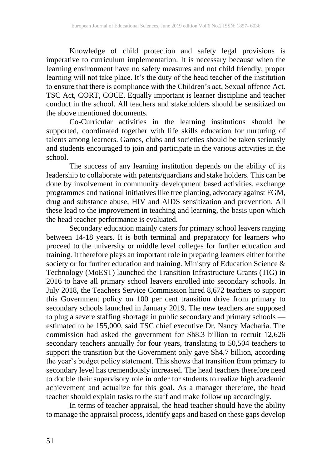Knowledge of child protection and safety legal provisions is imperative to curriculum implementation. It is necessary because when the learning environment have no safety measures and not child friendly, proper learning will not take place. It's the duty of the head teacher of the institution to ensure that there is compliance with the Children's act, Sexual offence Act. TSC Act, CORT, COCE. Equally important is learner discipline and teacher conduct in the school. All teachers and stakeholders should be sensitized on the above mentioned documents.

Co-Curricular activities in the learning institutions should be supported, coordinated together with life skills education for nurturing of talents among learners. Games, clubs and societies should be taken seriously and students encouraged to join and participate in the various activities in the school.

The success of any learning institution depends on the ability of its leadership to collaborate with patents/guardians and stake holders. This can be done by involvement in community development based activities, exchange programmes and national initiatives like tree planting, advocacy against FGM, drug and substance abuse, HIV and AIDS sensitization and prevention. All these lead to the improvement in teaching and learning, the basis upon which the head teacher performance is evaluated.

Secondary education mainly caters for primary school leavers ranging between 14-18 years. It is both terminal and preparatory for learners who proceed to the university or middle level colleges for further education and training. It therefore plays an important role in preparing learners either for the society or for further education and training. Ministry of Education Science  $\&$ Technology (MoEST) launched the Transition Infrastructure Grants (TIG) in 2016 to have all primary school leavers enrolled into secondary schools. In July 2018, the Teachers Service Commission hired 8,672 teachers to support this Government policy on 100 per cent transition drive from primary to secondary schools launched in January 2019. The new teachers are supposed to plug a severe staffing shortage in public secondary and primary schools estimated to be 155,000, said TSC chief executive Dr. Nancy Macharia. The commission had asked the government for Sh8.3 billion to recruit 12,626 secondary teachers annually for four years, translating to 50,504 teachers to support the transition but the Government only gave Sh4.7 billion, according the year's budget policy statement. This shows that transition from primary to secondary level has tremendously increased. The head teachers therefore need to double their supervisory role in order for students to realize high academic achievement and actualize for this goal. As a manager therefore, the head teacher should explain tasks to the staff and make follow up accordingly.

In terms of teacher appraisal, the head teacher should have the ability to manage the appraisal process, identify gaps and based on these gaps develop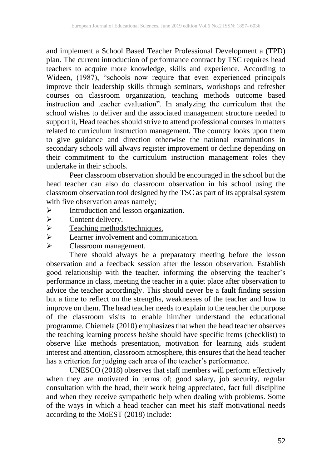and implement a School Based Teacher Professional Development a (TPD) plan. The current introduction of performance contract by TSC requires head teachers to acquire more knowledge, skills and experience. According to Wideen, (1987), "schools now require that even experienced principals improve their leadership skills through seminars, workshops and refresher courses on classroom organization, teaching methods outcome based instruction and teacher evaluation". In analyzing the curriculum that the school wishes to deliver and the associated management structure needed to support it, Head teaches should strive to attend professional courses in matters related to curriculum instruction management. The country looks upon them to give guidance and direction otherwise the national examinations in secondary schools will always register improvement or decline depending on their commitment to the curriculum instruction management roles they undertake in their schools.

Peer classroom observation should be encouraged in the school but the head teacher can also do classroom observation in his school using the classroom observation tool designed by the TSC as part of its appraisal system with five observation areas namely;

- ➢ Introduction and lesson organization.
- ➢ Content delivery.
- $\geq$  Teaching methods/techniques.<br>
Learner involvement and comm
- Learner involvement and communication.
- ➢ Classroom management.

There should always be a preparatory meeting before the lesson observation and a feedback session after the lesson observation. Establish good relationship with the teacher, informing the observing the teacher's performance in class, meeting the teacher in a quiet place after observation to advice the teacher accordingly. This should never be a fault finding session but a time to reflect on the strengths, weaknesses of the teacher and how to improve on them. The head teacher needs to explain to the teacher the purpose of the classroom visits to enable him/her understand the educational programme. Chiemela (2010) emphasizes that when the head teacher observes the teaching learning process he/she should have specific items (checklist) to observe like methods presentation, motivation for learning aids student interest and attention, classroom atmosphere, this ensures that the head teacher has a criterion for judging each area of the teacher's performance.

UNESCO (2018) observes that staff members will perform effectively when they are motivated in terms of; good salary, job security, regular consultation with the head, their work being appreciated, fact full discipline and when they receive sympathetic help when dealing with problems. Some of the ways in which a head teacher can meet his staff motivational needs according to the MoEST (2018) include: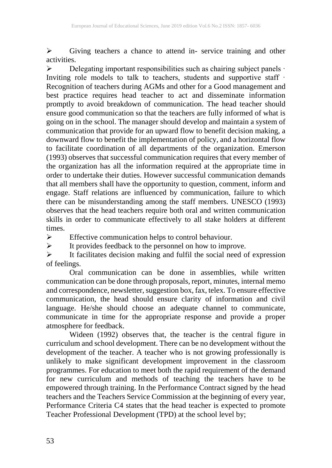➢ Giving teachers a chance to attend in- service training and other activities.

➢ Delegating important responsibilities such as chairing subject panels · Inviting role models to talk to teachers, students and supportive staff  $\cdot$ Recognition of teachers during AGMs and other for a Good management and best practice requires head teacher to act and disseminate information promptly to avoid breakdown of communication. The head teacher should ensure good communication so that the teachers are fully informed of what is going on in the school. The manager should develop and maintain a system of communication that provide for an upward flow to benefit decision making, a downward flow to benefit the implementation of policy, and a horizontal flow to facilitate coordination of all departments of the organization. Emerson (1993) observes that successful communication requires that every member of the organization has all the information required at the appropriate time in order to undertake their duties. However successful communication demands that all members shall have the opportunity to question, comment, inform and engage. Staff relations are influenced by communication, failure to which there can be misunderstanding among the staff members. UNESCO (1993) observes that the head teachers require both oral and written communication skills in order to communicate effectively to all stake holders at different times.

➢ Effective communication helps to control behaviour.

➢ It provides feedback to the personnel on how to improve.

 $\triangleright$  It facilitates decision making and fulfil the social need of expression of feelings.

Oral communication can be done in assemblies, while written communication can be done through proposals, report, minutes, internal memo and correspondence, newsletter, suggestion box, fax, telex. To ensure effective communication, the head should ensure clarity of information and civil language. He/she should choose an adequate channel to communicate, communicate in time for the appropriate response and provide a proper atmosphere for feedback.

Wideen (1992) observes that, the teacher is the central figure in curriculum and school development. There can be no development without the development of the teacher. A teacher who is not growing professionally is unlikely to make significant development improvement in the classroom programmes. For education to meet both the rapid requirement of the demand for new curriculum and methods of teaching the teachers have to be empowered through training. In the Performance Contract signed by the head teachers and the Teachers Service Commission at the beginning of every year, Performance Criteria C4 states that the head teacher is expected to promote Teacher Professional Development (TPD) at the school level by;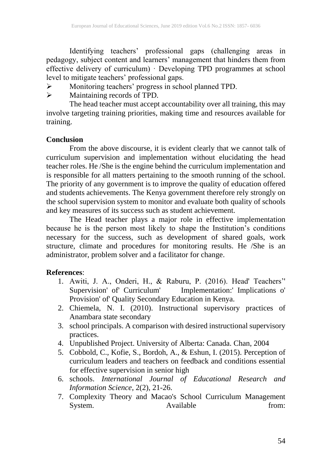Identifying teachers' professional gaps (challenging areas in pedagogy, subject content and learners' management that hinders them from effective delivery of curriculum) · Developing TPD programmes at school level to mitigate teachers' professional gaps.

- ➢ Monitoring teachers' progress in school planned TPD.
- ➢ Maintaining records of TPD.

The head teacher must accept accountability over all training, this may involve targeting training priorities, making time and resources available for training.

# **Conclusion**

From the above discourse, it is evident clearly that we cannot talk of curriculum supervision and implementation without elucidating the head teacher roles. He /She is the engine behind the curriculum implementation and is responsible for all matters pertaining to the smooth running of the school. The priority of any government is to improve the quality of education offered and students achievements. The Kenya government therefore rely strongly on the school supervision system to monitor and evaluate both quality of schools and key measures of its success such as student achievement.

The Head teacher plays a major role in effective implementation because he is the person most likely to shape the Institution's conditions necessary for the success, such as development of shared goals, work structure, climate and procedures for monitoring results. He /She is an administrator, problem solver and a facilitator for change.

# **References**:

- 1. Awiti, J. A., Onderi, H., & Raburu, P. (2016). Head' Teachers'' Implementation:' Implications o' Provision' of' Quality Secondary Education in Kenya.
- 2. Chiemela, N. I. (2010). Instructional supervisory practices of Anambara state secondary
- 3. school principals. A comparison with desired instructional supervisory practices.
- 4. Unpublished Project. University of Alberta: Canada. Chan, 2004
- 5. Cobbold, C., Kofie, S., Bordoh, A., & Eshun, I. (2015). Perception of curriculum leaders and teachers on feedback and conditions essential for effective supervision in senior high
- 6. schools. *International Journal of Educational Research and Information Science*, 2(2), 21-26.
- 7. Complexity Theory and Macao's School Curriculum Management<br>System. Available from: Available from: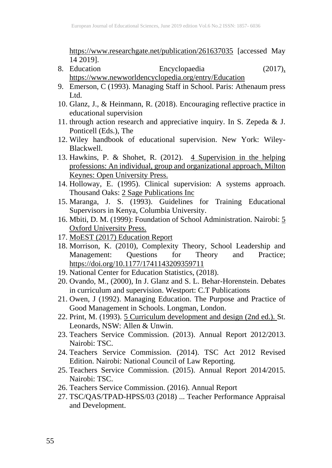<https://www.researchgate.net/publication/261637035> [accessed May 14 2019].

- 8. Education Encyclopaedia (2017[\),](file:///C:/Users/bjonyo.USIU.AC.KE/AppData/Local/Microsoft/Windows/INetCache/Content.Outlook/2M6PRCWD/,%20https:/www.newworldencyclopedia.org/entry/Education)  [https://www.newworldencyclopedia.org/entry/Education](file:///C:/Users/bjonyo.USIU.AC.KE/AppData/Local/Microsoft/Windows/INetCache/Content.Outlook/2M6PRCWD/,%20https:/www.newworldencyclopedia.org/entry/Education)
- 9. Emerson, C (1993). Managing Staff in School. Paris: Athenaum press Ltd.
- 10. Glanz, J., & Heinmann, R. (2018). Encouraging reflective practice in educational supervision
- 11. through action research and appreciative inquiry. In S. Zepeda & J. Ponticell (Eds.), The
- 12. Wiley handbook of educational supervision. New York: Wiley-Blackwell.
- 13. Hawkins, P. & Shohet, R. (2012). [4 Supervision in the helping](https://blackboard.usiu.ac.ke/webapps/mdb-sa-BBLEARN/originalityReportPrint?course_id=_3722_1&paperId=1824621922&&attemptId=&course_id=_3722_1)  [professions: An individual, group and organizational approach, Milton](https://blackboard.usiu.ac.ke/webapps/mdb-sa-BBLEARN/originalityReportPrint?course_id=_3722_1&paperId=1824621922&&attemptId=&course_id=_3722_1) [Keynes:](https://blackboard.usiu.ac.ke/webapps/mdb-sa-BBLEARN/originalityReportPrint?course_id=_3722_1&paperId=1824621922&&attemptId=&course_id=_3722_1) [Open University Press.](https://blackboard.usiu.ac.ke/webapps/mdb-sa-BBLEARN/originalityReportPrint?course_id=_3722_1&paperId=1824621922&&attemptId=&course_id=_3722_1)
- 14. Holloway, E. (1995). Clinical supervision: A systems approach. Thousand Oaks: [2 Sage Publications Inc](https://blackboard.usiu.ac.ke/webapps/mdb-sa-BBLEARN/originalityReportPrint?course_id=_3722_1&paperId=1824621922&&attemptId=&course_id=_3722_1)
- 15. Maranga, J. S. (1993). Guidelines for Training Educational Supervisors in Kenya, Columbia University.
- 16. Mbiti, D. M. (1999): Foundation of School Administration. Nairobi: [5](https://blackboard.usiu.ac.ke/webapps/mdb-sa-BBLEARN/originalityReportPrint?course_id=_3722_1&paperId=1824621922&&attemptId=&course_id=_3722_1)  [Oxford University Press.](https://blackboard.usiu.ac.ke/webapps/mdb-sa-BBLEARN/originalityReportPrint?course_id=_3722_1&paperId=1824621922&&attemptId=&course_id=_3722_1)
- 17. MoEST (2017) Education Report
- 18. Morrison, K. (2010), Complexity Theory, School Leadership and Management: Questions for Theory and Practice; Management: Questions for Theory and Practice; <https://doi.org/10.1177/1741143209359711>
- 19. National Center for Education Statistics, (2018).
- 20. Ovando, M., (2000), In J. Glanz and S. L. Behar-Horenstein. Debates in curriculum and supervision. Westport: C.T Publications
- 21. Owen, J (1992). Managing Education. The Purpose and Practice of Good Management in Schools. Longman, London.
- 22. Print, M. (1993). 5 Curriculum development and [design \(2nd ed.\). S](https://blackboard.usiu.ac.ke/webapps/mdb-sa-BBLEARN/originalityReportPrint?course_id=_3722_1&paperId=1824621922&&attemptId=&course_id=_3722_1)t. Leonards, NSW: Allen & Unwin.
- 23. Teachers Service Commission. (2013). Annual Report 2012/2013. Nairobi: TSC.
- 24. Teachers Service Commission. (2014). TSC Act 2012 Revised Edition. Nairobi: National Council of Law Reporting.
- 25. Teachers Service Commission. (2015). Annual Report 2014/2015. Nairobi: TSC.
- 26. Teachers Service Commission. (2016). Annual Report
- 27. TSC/QAS/TPAD-HPSS/03 (2018) ... Teacher Performance Appraisal and Development.